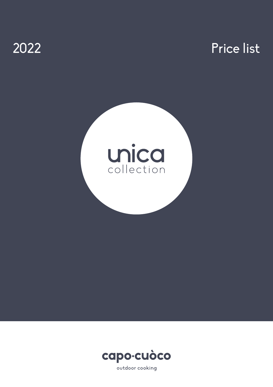# 2022 Price list





outdoor cooking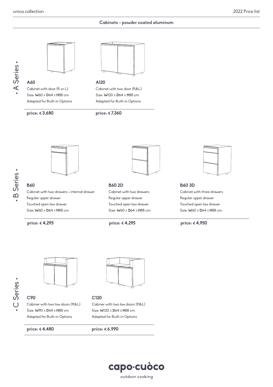## **Cabinets - powder coated aluminum**





**A60** Cabinet with door (R or L) Size: **W**60 X **D**64 X **H**88 cm Adapted for Built-in Options

**price: € 3,680 price: € 7,360**



**A120** Cabinet with two door (R&L) Size: **W**120 X **D**64 X **H**88 cm Adapted for Built-in Options





# **B60**

Cabinet with two drawers + internal drawer Regular upper drawer Touched open low drawer Size: **W**60 X **D**64 X **H**88 cm



#### **B60 2D**

Cabinet with two drawers Regular upper drawer Touched open low drawer Size: **W**60 X **D**64 X **H**88 cm



**B60 3D** Cabinet with three drawers Regular upper drawer Touched open low drawer Size: **W**60 X **D**64 X **H**88 cm

**price: € 4,295 price: € 4,295 price: € 4,950**



**C90** Cabiner with two low doors (R&L) Size: **W**90 X **D**64 X **H**88 cm Adapted for Built-in Options

**price: € 4,480 price: € 6,990**



#### **C120**

Cabiner with two low doors (R&L) Size: **W**120 X **D**64 X **H**88 cm Adapted for Built-in Options

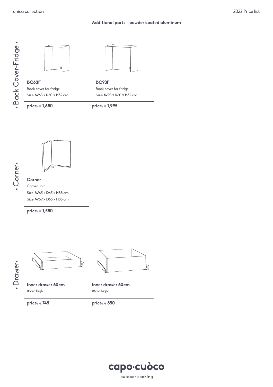### **Additional parts - powder coated aluminum**





**BC63F** Back cover for fridge Size: **W**63 X **D**60 X **H**82 cm



**BC93F** Back cover for fridge Size: **W**93 X **D**60 X **H**82 cm







**Corner** Corner unit Size: **W**65 X **D**65 X **H**88 cm Size: **W**69 X **D**65 X **H**88 cm

**price: € 1,580**

·Drawer· • Drawer•



**Inner drawer 60cm** 10cm high

**Inner drawer 60cm**

18cm high

**price: € 745 price: € 850**